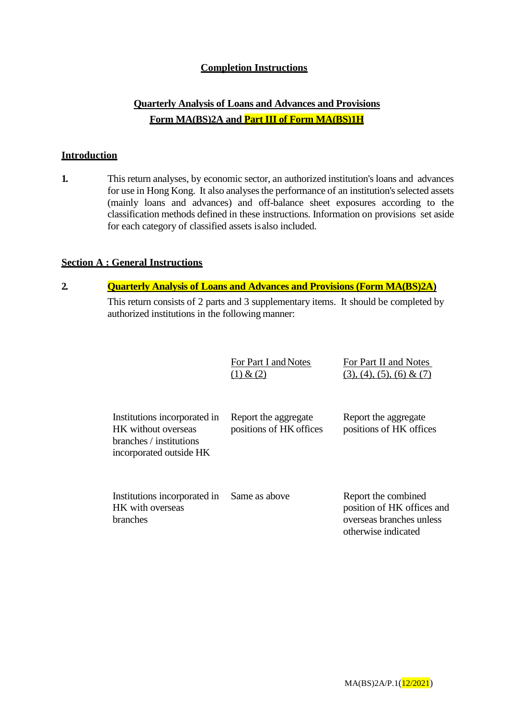#### **Completion Instructions**

### **Quarterly Analysis of Loans and Advances and Provisions Form MA(BS)2A and Part III of Form MA(BS)1H**

#### **Introduction**

**1.** This return analyses, by economic sector, an authorized institution's loans and advances for use in Hong Kong. It also analyses the performance of an institution's selected assets (mainly loans and advances) and off-balance sheet exposures according to the classification methods defined in these instructions. Information on provisions set aside for each category of classified assets isalso included.

#### **Section A : General Instructions**

#### **2. Quarterly Analysis of Loans and Advances and Provisions (Form MA(BS)2A)** This return consists of 2 parts and 3 supplementary items. It should be completed by authorized institutions in the following manner:

|                                                                                                           | For Part I and Notes<br>(1) & (2)               | For Part II and Notes<br>$(3), (4), (5), (6) \& (7)$                                                 |
|-----------------------------------------------------------------------------------------------------------|-------------------------------------------------|------------------------------------------------------------------------------------------------------|
| Institutions incorporated in<br>HK without overseas<br>branches / institutions<br>incorporated outside HK | Report the aggregate<br>positions of HK offices | Report the aggregate<br>positions of HK offices                                                      |
| Institutions incorporated in<br>HK with overseas<br>branches                                              | Same as above                                   | Report the combined<br>position of HK offices and<br>overseas branches unless<br>otherwise indicated |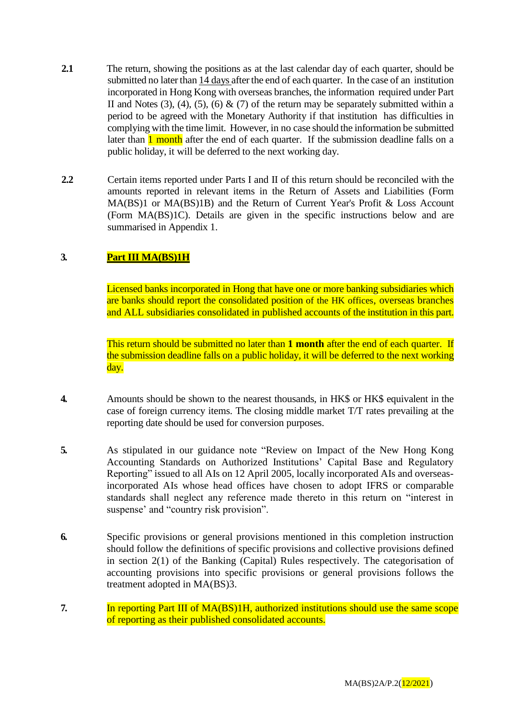- **2.1** The return, showing the positions as at the last calendar day of each quarter, should be submitted no later than 14 days after the end of each quarter. In the case of an institution incorporated in Hong Kong with overseas branches, the information required under Part II and Notes  $(3)$ ,  $(4)$ ,  $(5)$ ,  $(6)$  &  $(7)$  of the return may be separately submitted within a period to be agreed with the Monetary Authority if that institution has difficulties in complying with the time limit. However, in no case should the information be submitted later than 1 month after the end of each quarter. If the submission deadline falls on a public holiday, it will be deferred to the next working day.
- **2.2** Certain items reported under Parts I and II of this return should be reconciled with the amounts reported in relevant items in the Return of Assets and Liabilities (Form MA(BS)1 or MA(BS)1B) and the Return of Current Year's Profit & Loss Account (Form MA(BS)1C). Details are given in the specific instructions below and are summarised in Appendix 1.

#### **3. Part III MA(BS)1H**

Licensed banks incorporated in Hong that have one or more banking subsidiaries which are banks should report the consolidated position of the HK offices, overseas branches and ALL subsidiaries consolidated in published accounts of the institution in this part.

This return should be submitted no later than **1 month** after the end of each quarter. If the submission deadline falls on a public holiday, it will be deferred to the next working day.

- **4.** Amounts should be shown to the nearest thousands, in HK\$ or HK\$ equivalent in the case of foreign currency items. The closing middle market T/T rates prevailing at the reporting date should be used for conversion purposes.
- **5.** As stipulated in our guidance note "Review on Impact of the New Hong Kong Accounting Standards on Authorized Institutions' Capital Base and Regulatory Reporting" issued to all AIs on 12 April 2005, locally incorporated AIs and overseasincorporated AIs whose head offices have chosen to adopt IFRS or comparable standards shall neglect any reference made thereto in this return on "interest in suspense' and "country risk provision".
- **6.** Specific provisions or general provisions mentioned in this completion instruction should follow the definitions of specific provisions and collective provisions defined in section 2(1) of the Banking (Capital) Rules respectively. The categorisation of accounting provisions into specific provisions or general provisions follows the treatment adopted in MA(BS)3.
- **7.** In reporting Part III of MA(BS)1H, authorized institutions should use the same scope of reporting as their published consolidated accounts.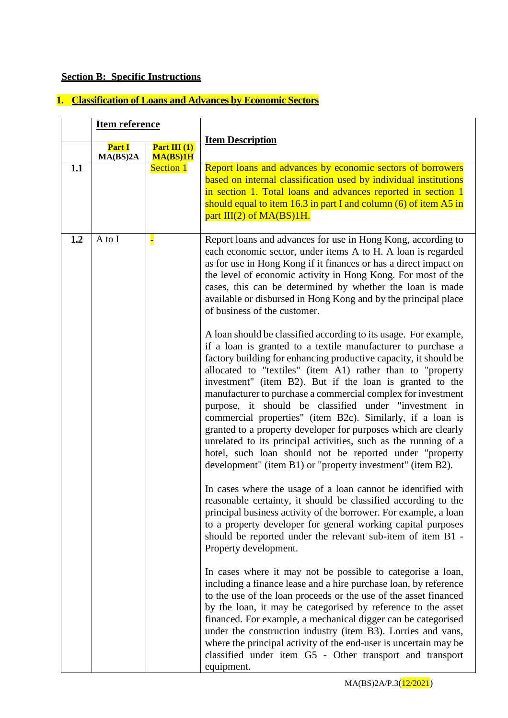# **Section B: Specific Instructions**

# **1. Classification of Loans and Advances by Economic Sectors**

|     | <b>Item reference</b>     |                            |                                                                                                                                                                                                                                                                                                                                                                                                                                                                                                                                                                                                                                                 |
|-----|---------------------------|----------------------------|-------------------------------------------------------------------------------------------------------------------------------------------------------------------------------------------------------------------------------------------------------------------------------------------------------------------------------------------------------------------------------------------------------------------------------------------------------------------------------------------------------------------------------------------------------------------------------------------------------------------------------------------------|
|     | <b>Part I</b><br>MA(BS)2A | Part III $(1)$<br>MA(BS)1H | <b>Item Description</b>                                                                                                                                                                                                                                                                                                                                                                                                                                                                                                                                                                                                                         |
| 1.1 |                           | <b>Section 1</b>           | Report loans and advances by economic sectors of borrowers<br>based on internal classification used by individual institutions<br>in section 1. Total loans and advances reported in section 1<br>should equal to item $16.3$ in part I and column $(6)$ of item A5 in<br>part $III(2)$ of $MA(BS)1H$ .                                                                                                                                                                                                                                                                                                                                         |
| 1.2 | A to I                    | Н                          | Report loans and advances for use in Hong Kong, according to<br>each economic sector, under items A to H. A loan is regarded<br>as for use in Hong Kong if it finances or has a direct impact on<br>the level of economic activity in Hong Kong. For most of the<br>cases, this can be determined by whether the loan is made<br>available or disbursed in Hong Kong and by the principal place<br>of business of the customer.<br>A loan should be classified according to its usage. For example,<br>if a loan is granted to a textile manufacturer to purchase a                                                                             |
|     |                           |                            | factory building for enhancing productive capacity, it should be<br>allocated to "textiles" (item A1) rather than to "property<br>investment" (item B2). But if the loan is granted to the<br>manufacturer to purchase a commercial complex for investment<br>purpose, it should be classified under "investment in<br>commercial properties" (item B2c). Similarly, if a loan is<br>granted to a property developer for purposes which are clearly<br>unrelated to its principal activities, such as the running of a<br>hotel, such loan should not be reported under "property<br>development" (item B1) or "property investment" (item B2). |
|     |                           |                            | In cases where the usage of a loan cannot be identified with<br>reasonable certainty, it should be classified according to the<br>principal business activity of the borrower. For example, a loan<br>to a property developer for general working capital purposes<br>should be reported under the relevant sub-item of item B1 -<br>Property development.                                                                                                                                                                                                                                                                                      |
|     |                           |                            | In cases where it may not be possible to categorise a loan,<br>including a finance lease and a hire purchase loan, by reference<br>to the use of the loan proceeds or the use of the asset financed<br>by the loan, it may be categorised by reference to the asset<br>financed. For example, a mechanical digger can be categorised<br>under the construction industry (item B3). Lorries and vans,<br>where the principal activity of the end-user is uncertain may be<br>classified under item G5 - Other transport and transport<br>equipment.                                                                                              |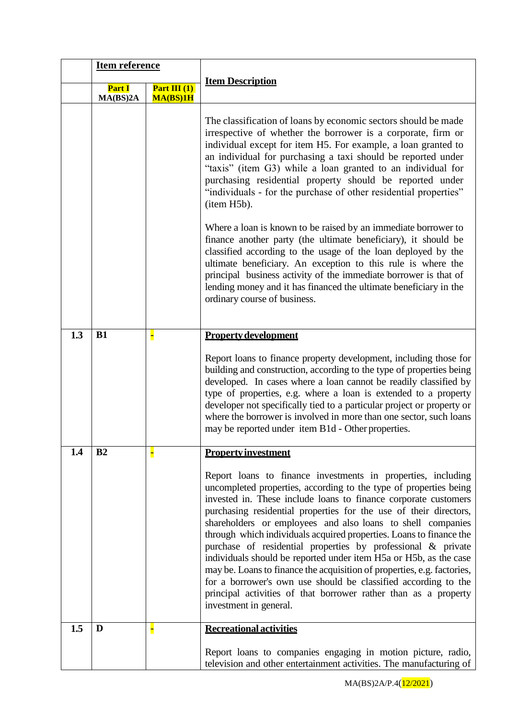|     | <b>Item reference</b>     |                            |                                                                                                                                                                                                                                                                                                                                                                                                                                                                                                                                                                                                                                                                                                                                                                                                                                                                                                                             |
|-----|---------------------------|----------------------------|-----------------------------------------------------------------------------------------------------------------------------------------------------------------------------------------------------------------------------------------------------------------------------------------------------------------------------------------------------------------------------------------------------------------------------------------------------------------------------------------------------------------------------------------------------------------------------------------------------------------------------------------------------------------------------------------------------------------------------------------------------------------------------------------------------------------------------------------------------------------------------------------------------------------------------|
|     | <b>Part I</b><br>MA(BS)2A | Part III $(1)$<br>MA(BS)1H | <b>Item Description</b>                                                                                                                                                                                                                                                                                                                                                                                                                                                                                                                                                                                                                                                                                                                                                                                                                                                                                                     |
|     |                           |                            | The classification of loans by economic sectors should be made<br>irrespective of whether the borrower is a corporate, firm or<br>individual except for item H5. For example, a loan granted to<br>an individual for purchasing a taxi should be reported under<br>"taxis" (item G3) while a loan granted to an individual for<br>purchasing residential property should be reported under<br>"individuals - for the purchase of other residential properties"<br>(item H5b).<br>Where a loan is known to be raised by an immediate borrower to<br>finance another party (the ultimate beneficiary), it should be<br>classified according to the usage of the loan deployed by the<br>ultimate beneficiary. An exception to this rule is where the<br>principal business activity of the immediate borrower is that of<br>lending money and it has financed the ultimate beneficiary in the<br>ordinary course of business. |
|     |                           |                            |                                                                                                                                                                                                                                                                                                                                                                                                                                                                                                                                                                                                                                                                                                                                                                                                                                                                                                                             |
| 1.3 | B1                        | H                          | <b>Property development</b><br>Report loans to finance property development, including those for<br>building and construction, according to the type of properties being<br>developed. In cases where a loan cannot be readily classified by                                                                                                                                                                                                                                                                                                                                                                                                                                                                                                                                                                                                                                                                                |
|     |                           |                            | type of properties, e.g. where a loan is extended to a property<br>developer not specifically tied to a particular project or property or<br>where the borrower is involved in more than one sector, such loans<br>may be reported under item B1d - Other properties.                                                                                                                                                                                                                                                                                                                                                                                                                                                                                                                                                                                                                                                       |
| 1.4 | B <sub>2</sub>            |                            | <b>Property investment</b>                                                                                                                                                                                                                                                                                                                                                                                                                                                                                                                                                                                                                                                                                                                                                                                                                                                                                                  |
|     |                           |                            | Report loans to finance investments in properties, including<br>uncompleted properties, according to the type of properties being<br>invested in. These include loans to finance corporate customers<br>purchasing residential properties for the use of their directors,<br>shareholders or employees and also loans to shell companies<br>through which individuals acquired properties. Loans to finance the<br>purchase of residential properties by professional & private<br>individuals should be reported under item H5a or H5b, as the case<br>may be. Loans to finance the acquisition of properties, e.g. factories,<br>for a borrower's own use should be classified according to the<br>principal activities of that borrower rather than as a property<br>investment in general.                                                                                                                              |
| 1.5 | D                         |                            | <b>Recreational activities</b>                                                                                                                                                                                                                                                                                                                                                                                                                                                                                                                                                                                                                                                                                                                                                                                                                                                                                              |
|     |                           |                            | Report loans to companies engaging in motion picture, radio,<br>television and other entertainment activities. The manufacturing of                                                                                                                                                                                                                                                                                                                                                                                                                                                                                                                                                                                                                                                                                                                                                                                         |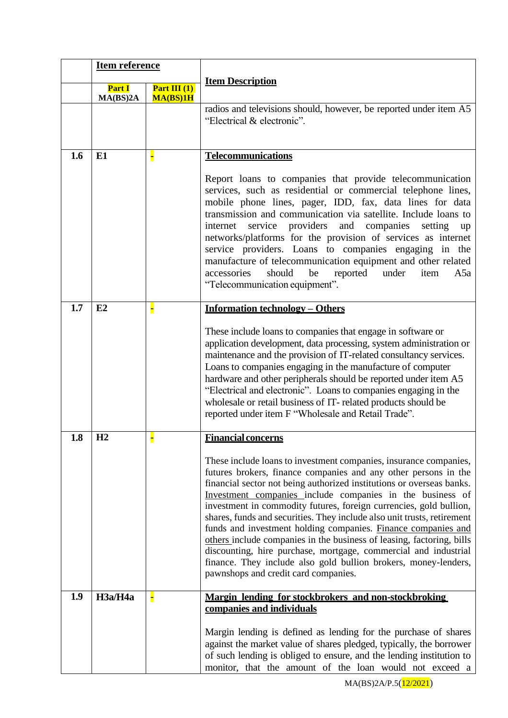|     | <b>Item reference</b> |                            |                                                                                                                                                                                                                                                                                                                                                                                                                                                                                                                                                                                                                                                                                                                                                                                  |  |  |
|-----|-----------------------|----------------------------|----------------------------------------------------------------------------------------------------------------------------------------------------------------------------------------------------------------------------------------------------------------------------------------------------------------------------------------------------------------------------------------------------------------------------------------------------------------------------------------------------------------------------------------------------------------------------------------------------------------------------------------------------------------------------------------------------------------------------------------------------------------------------------|--|--|
|     | Part I<br>MA(BS)2A    | Part III $(1)$<br>MA(BS)1H | <b>Item Description</b>                                                                                                                                                                                                                                                                                                                                                                                                                                                                                                                                                                                                                                                                                                                                                          |  |  |
|     |                       |                            | radios and televisions should, however, be reported under item A5<br>"Electrical & electronic".                                                                                                                                                                                                                                                                                                                                                                                                                                                                                                                                                                                                                                                                                  |  |  |
| 1.6 | E1                    |                            | <b>Telecommunications</b><br>Report loans to companies that provide telecommunication<br>services, such as residential or commercial telephone lines,<br>mobile phone lines, pager, IDD, fax, data lines for data<br>transmission and communication via satellite. Include loans to<br>service providers and companies<br>internet<br>setting<br>up<br>networks/platforms for the provision of services as internet<br>service providers. Loans to companies engaging in the<br>manufacture of telecommunication equipment and other related<br>should<br>be<br>reported<br>under<br>accessories<br>item<br>A5a<br>"Telecommunication equipment".                                                                                                                                |  |  |
| 1.7 | E2                    |                            | <b>Information technology – Others</b><br>These include loans to companies that engage in software or<br>application development, data processing, system administration or<br>maintenance and the provision of IT-related consultancy services.<br>Loans to companies engaging in the manufacture of computer<br>hardware and other peripherals should be reported under item A5<br>"Electrical and electronic". Loans to companies engaging in the<br>wholesale or retail business of IT-related products should be<br>reported under item F "Wholesale and Retail Trade".                                                                                                                                                                                                     |  |  |
| 1.8 | H <sub>2</sub>        |                            | <b>Financial concerns</b><br>These include loans to investment companies, insurance companies,<br>futures brokers, finance companies and any other persons in the<br>financial sector not being authorized institutions or overseas banks.<br>Investment companies include companies in the business of<br>investment in commodity futures, foreign currencies, gold bullion,<br>shares, funds and securities. They include also unit trusts, retirement<br>funds and investment holding companies. Finance companies and<br>others include companies in the business of leasing, factoring, bills<br>discounting, hire purchase, mortgage, commercial and industrial<br>finance. They include also gold bullion brokers, money-lenders,<br>pawnshops and credit card companies. |  |  |
| 1.9 | H3a/H4a               | F                          | Margin lending for stockbrokers and non-stockbroking<br>companies and individuals<br>Margin lending is defined as lending for the purchase of shares<br>against the market value of shares pledged, typically, the borrower<br>of such lending is obliged to ensure, and the lending institution to<br>monitor, that the amount of the loan would not exceed a                                                                                                                                                                                                                                                                                                                                                                                                                   |  |  |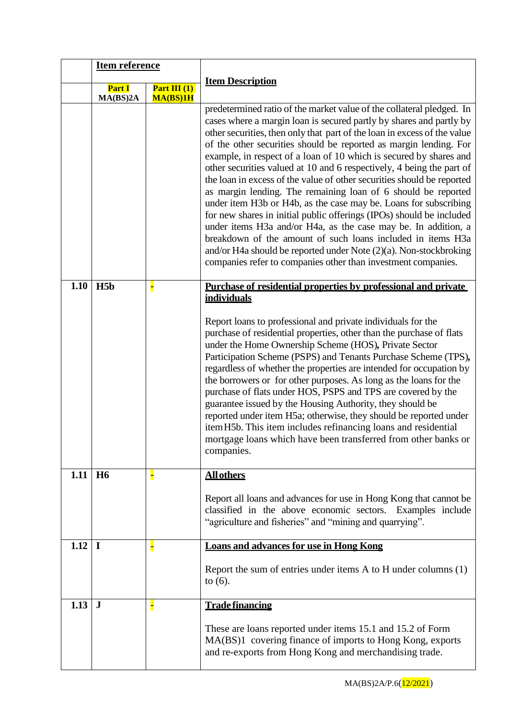|                       | <b>Item reference</b> |                |                                                                                                                                                                                                                                                                                                                                                                                                                                                                                                                                                                                                                                                                                                                                                                                                                                                                                                                                                                                                               |
|-----------------------|-----------------------|----------------|---------------------------------------------------------------------------------------------------------------------------------------------------------------------------------------------------------------------------------------------------------------------------------------------------------------------------------------------------------------------------------------------------------------------------------------------------------------------------------------------------------------------------------------------------------------------------------------------------------------------------------------------------------------------------------------------------------------------------------------------------------------------------------------------------------------------------------------------------------------------------------------------------------------------------------------------------------------------------------------------------------------|
|                       | <b>Part I</b>         | Part III $(1)$ | <b>Item Description</b>                                                                                                                                                                                                                                                                                                                                                                                                                                                                                                                                                                                                                                                                                                                                                                                                                                                                                                                                                                                       |
|                       | MA(BS)2A              | MA(BS)1H       |                                                                                                                                                                                                                                                                                                                                                                                                                                                                                                                                                                                                                                                                                                                                                                                                                                                                                                                                                                                                               |
|                       |                       |                | predetermined ratio of the market value of the collateral pledged. In<br>cases where a margin loan is secured partly by shares and partly by<br>other securities, then only that part of the loan in excess of the value<br>of the other securities should be reported as margin lending. For<br>example, in respect of a loan of 10 which is secured by shares and<br>other securities valued at 10 and 6 respectively, 4 being the part of<br>the loan in excess of the value of other securities should be reported<br>as margin lending. The remaining loan of 6 should be reported<br>under item H3b or H4b, as the case may be. Loans for subscribing<br>for new shares in initial public offerings (IPOs) should be included<br>under items H3a and/or H4a, as the case may be. In addition, a<br>breakdown of the amount of such loans included in items H3a<br>and/or H4a should be reported under Note $(2)(a)$ . Non-stockbroking<br>companies refer to companies other than investment companies. |
| 1.10                  | H5b                   | Н              | Purchase of residential properties by professional and private<br><b>individuals</b>                                                                                                                                                                                                                                                                                                                                                                                                                                                                                                                                                                                                                                                                                                                                                                                                                                                                                                                          |
|                       |                       |                | Report loans to professional and private individuals for the<br>purchase of residential properties, other than the purchase of flats<br>under the Home Ownership Scheme (HOS), Private Sector<br>Participation Scheme (PSPS) and Tenants Purchase Scheme (TPS),<br>regardless of whether the properties are intended for occupation by<br>the borrowers or for other purposes. As long as the loans for the<br>purchase of flats under HOS, PSPS and TPS are covered by the<br>guarantee issued by the Housing Authority, they should be<br>reported under item H5a; otherwise, they should be reported under<br>item H5b. This item includes refinancing loans and residential<br>mortgage loans which have been transferred from other banks or<br>companies.                                                                                                                                                                                                                                               |
| $1.11$ H <sub>6</sub> |                       |                | <b>All others</b>                                                                                                                                                                                                                                                                                                                                                                                                                                                                                                                                                                                                                                                                                                                                                                                                                                                                                                                                                                                             |
|                       |                       |                | Report all loans and advances for use in Hong Kong that cannot be<br>classified in the above economic sectors. Examples include<br>"agriculture and fisheries" and "mining and quarrying".                                                                                                                                                                                                                                                                                                                                                                                                                                                                                                                                                                                                                                                                                                                                                                                                                    |
| 1.12                  | $\mathbf I$           |                | <b>Loans and advances for use in Hong Kong</b>                                                                                                                                                                                                                                                                                                                                                                                                                                                                                                                                                                                                                                                                                                                                                                                                                                                                                                                                                                |
|                       |                       |                | Report the sum of entries under items A to H under columns (1)<br>to $(6)$ .                                                                                                                                                                                                                                                                                                                                                                                                                                                                                                                                                                                                                                                                                                                                                                                                                                                                                                                                  |
| 1.13                  | $\bf J$               |                | <b>Trade financing</b>                                                                                                                                                                                                                                                                                                                                                                                                                                                                                                                                                                                                                                                                                                                                                                                                                                                                                                                                                                                        |
|                       |                       |                | These are loans reported under items 15.1 and 15.2 of Form<br>MA(BS)1 covering finance of imports to Hong Kong, exports<br>and re-exports from Hong Kong and merchandising trade.                                                                                                                                                                                                                                                                                                                                                                                                                                                                                                                                                                                                                                                                                                                                                                                                                             |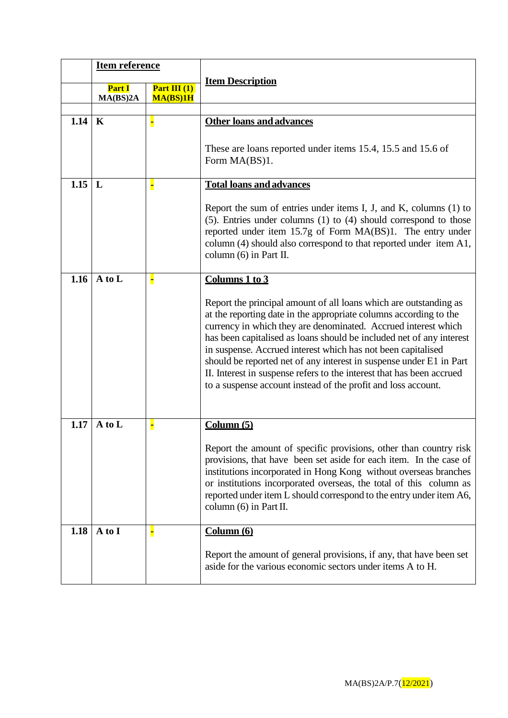|          | <b>Item reference</b>     |                            |                                                                                                                                                                                                                                                                                                                                                                                                                                                                                                                                                                   |  |  |
|----------|---------------------------|----------------------------|-------------------------------------------------------------------------------------------------------------------------------------------------------------------------------------------------------------------------------------------------------------------------------------------------------------------------------------------------------------------------------------------------------------------------------------------------------------------------------------------------------------------------------------------------------------------|--|--|
|          | <b>Part I</b><br>MA(BS)2A | Part III $(1)$<br>MA(BS)1H | <b>Item Description</b>                                                                                                                                                                                                                                                                                                                                                                                                                                                                                                                                           |  |  |
|          |                           |                            |                                                                                                                                                                                                                                                                                                                                                                                                                                                                                                                                                                   |  |  |
| $1.14$ K |                           |                            | <b>Other loans and advances</b>                                                                                                                                                                                                                                                                                                                                                                                                                                                                                                                                   |  |  |
|          |                           |                            | These are loans reported under items 15.4, 15.5 and 15.6 of<br>Form MA(BS)1.                                                                                                                                                                                                                                                                                                                                                                                                                                                                                      |  |  |
| 1.15     | $\mathbf{L}$              |                            | <b>Total loans and advances</b>                                                                                                                                                                                                                                                                                                                                                                                                                                                                                                                                   |  |  |
|          |                           |                            | Report the sum of entries under items I, J, and K, columns $(1)$ to<br>(5). Entries under columns (1) to (4) should correspond to those<br>reported under item 15.7g of Form MA(BS)1. The entry under<br>column (4) should also correspond to that reported under item A1,<br>column (6) in Part II.                                                                                                                                                                                                                                                              |  |  |
| 1.16     | A to L                    | Ξ                          | Columns 1 to 3                                                                                                                                                                                                                                                                                                                                                                                                                                                                                                                                                    |  |  |
|          |                           |                            | Report the principal amount of all loans which are outstanding as<br>at the reporting date in the appropriate columns according to the<br>currency in which they are denominated. Accrued interest which<br>has been capitalised as loans should be included net of any interest<br>in suspense. Accrued interest which has not been capitalised<br>should be reported net of any interest in suspense under E1 in Part<br>II. Interest in suspense refers to the interest that has been accrued<br>to a suspense account instead of the profit and loss account. |  |  |
| 1.17     | A to L                    |                            | Column(5)                                                                                                                                                                                                                                                                                                                                                                                                                                                                                                                                                         |  |  |
|          |                           |                            | Report the amount of specific provisions, other than country risk<br>provisions, that have been set aside for each item. In the case of<br>institutions incorporated in Hong Kong without overseas branches<br>or institutions incorporated overseas, the total of this column as<br>reported under item L should correspond to the entry under item A6,<br>column $(6)$ in Part II.                                                                                                                                                                              |  |  |
| 1.18     | A to I                    |                            | Column (6)                                                                                                                                                                                                                                                                                                                                                                                                                                                                                                                                                        |  |  |
|          |                           |                            | Report the amount of general provisions, if any, that have been set<br>aside for the various economic sectors under items A to H.                                                                                                                                                                                                                                                                                                                                                                                                                                 |  |  |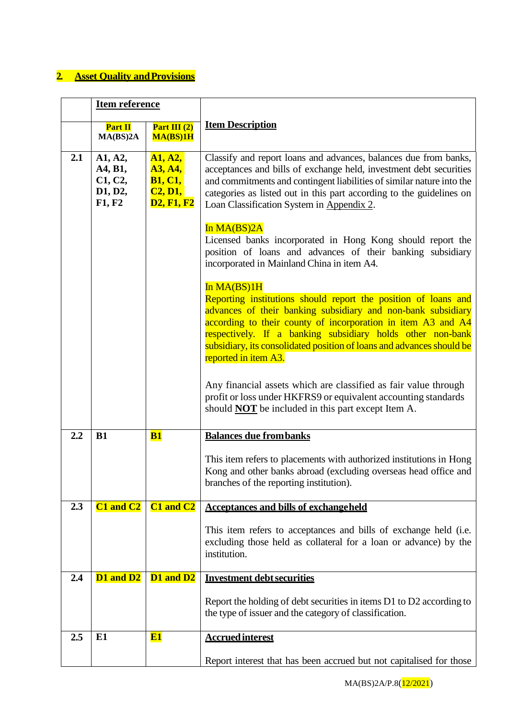# **2.** Asset Quality and Provisions

|     | <b>Item reference</b>                              |                                                                             |                                                                                                                                                                                                                                                                                                                                                                                                                                                                                                                                                                                                                                                                                                                                                                                                              |
|-----|----------------------------------------------------|-----------------------------------------------------------------------------|--------------------------------------------------------------------------------------------------------------------------------------------------------------------------------------------------------------------------------------------------------------------------------------------------------------------------------------------------------------------------------------------------------------------------------------------------------------------------------------------------------------------------------------------------------------------------------------------------------------------------------------------------------------------------------------------------------------------------------------------------------------------------------------------------------------|
|     | Part II<br>MA(BS)2A                                | Part III $(2)$<br>MA(BS)1H                                                  | <b>Item Description</b>                                                                                                                                                                                                                                                                                                                                                                                                                                                                                                                                                                                                                                                                                                                                                                                      |
| 2.1 | A1, A2,<br>A4, B1,<br>C1, C2,<br>D1, D2,<br>F1, F2 | A1, A2,<br><b>A3, A4,</b><br><b>B1, C1,</b><br>C2, D1,<br><b>D2, F1, F2</b> | Classify and report loans and advances, balances due from banks,<br>acceptances and bills of exchange held, investment debt securities<br>and commitments and contingent liabilities of similar nature into the<br>categories as listed out in this part according to the guidelines on<br>Loan Classification System in Appendix 2.<br>In MA(BS)2A<br>Licensed banks incorporated in Hong Kong should report the<br>position of loans and advances of their banking subsidiary<br>incorporated in Mainland China in item A4.<br>In MA(BS)1H<br>Reporting institutions should report the position of loans and<br>advances of their banking subsidiary and non-bank subsidiary<br>according to their county of incorporation in item A3 and A4<br>respectively. If a banking subsidiary holds other non-bank |
|     |                                                    |                                                                             | subsidiary, its consolidated position of loans and advances should be<br>reported in item A3.<br>Any financial assets which are classified as fair value through<br>profit or loss under HKFRS9 or equivalent accounting standards<br>should <b>NOT</b> be included in this part except Item A.                                                                                                                                                                                                                                                                                                                                                                                                                                                                                                              |
| 2.2 | <b>B1</b>                                          | B1                                                                          | <b>Balances due from banks</b>                                                                                                                                                                                                                                                                                                                                                                                                                                                                                                                                                                                                                                                                                                                                                                               |
|     |                                                    |                                                                             | This item refers to placements with authorized institutions in Hong<br>Kong and other banks abroad (excluding overseas head office and<br>branches of the reporting institution).                                                                                                                                                                                                                                                                                                                                                                                                                                                                                                                                                                                                                            |
| 2.3 | C1 and C2                                          | C1 and C2                                                                   | <b>Acceptances and bills of exchangeheld</b>                                                                                                                                                                                                                                                                                                                                                                                                                                                                                                                                                                                                                                                                                                                                                                 |
|     |                                                    |                                                                             | This item refers to acceptances and bills of exchange held (i.e.<br>excluding those held as collateral for a loan or advance) by the<br>institution.                                                                                                                                                                                                                                                                                                                                                                                                                                                                                                                                                                                                                                                         |
| 2.4 | D1 and D2                                          | D1 and D2                                                                   | <b>Investment debt securities</b>                                                                                                                                                                                                                                                                                                                                                                                                                                                                                                                                                                                                                                                                                                                                                                            |
|     |                                                    |                                                                             | Report the holding of debt securities in items D1 to D2 according to<br>the type of issuer and the category of classification.                                                                                                                                                                                                                                                                                                                                                                                                                                                                                                                                                                                                                                                                               |
| 2.5 | E1                                                 | E1                                                                          | <b>Accrued interest</b>                                                                                                                                                                                                                                                                                                                                                                                                                                                                                                                                                                                                                                                                                                                                                                                      |
|     |                                                    |                                                                             | Report interest that has been accrued but not capitalised for those                                                                                                                                                                                                                                                                                                                                                                                                                                                                                                                                                                                                                                                                                                                                          |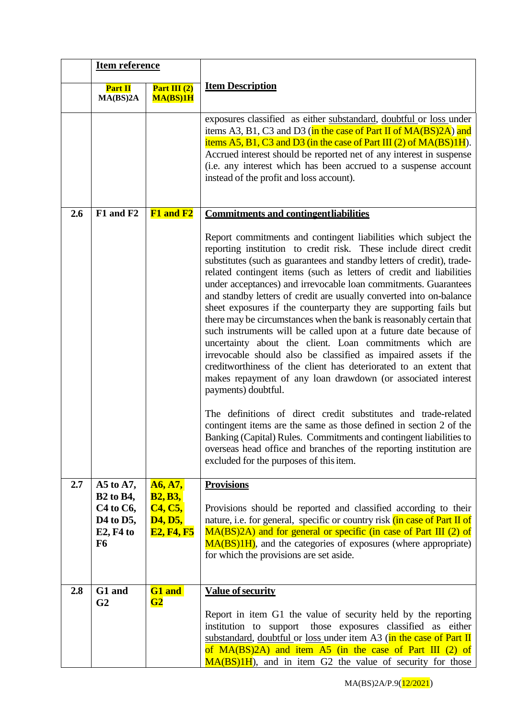|     | <b>Item reference</b>                                                                 |                                                |                                                                                                                                                                                                                                                                                                                                                                                                                                                                                                                                                                                                                                                                                                                                                                                                                                                                                                                                                                                                              |
|-----|---------------------------------------------------------------------------------------|------------------------------------------------|--------------------------------------------------------------------------------------------------------------------------------------------------------------------------------------------------------------------------------------------------------------------------------------------------------------------------------------------------------------------------------------------------------------------------------------------------------------------------------------------------------------------------------------------------------------------------------------------------------------------------------------------------------------------------------------------------------------------------------------------------------------------------------------------------------------------------------------------------------------------------------------------------------------------------------------------------------------------------------------------------------------|
|     | Part II<br>MA(BS)2A                                                                   | Part III $(2)$<br>MA(BS)1H                     | <b>Item Description</b>                                                                                                                                                                                                                                                                                                                                                                                                                                                                                                                                                                                                                                                                                                                                                                                                                                                                                                                                                                                      |
|     |                                                                                       |                                                | exposures classified as either substandard, doubtful or loss under<br>items A3, B1, C3 and D3 (in the case of Part II of $MA(BS)2A$ ) and<br>items $A5$ , $B1$ , $C3$ and $D3$ (in the case of Part III (2) of $MA(BS)1H$ ).<br>Accrued interest should be reported net of any interest in suspense<br>(i.e. any interest which has been accrued to a suspense account<br>instead of the profit and loss account).                                                                                                                                                                                                                                                                                                                                                                                                                                                                                                                                                                                           |
| 2.6 | F1 and F2                                                                             | F1 and F2                                      | <b>Commitments and contingentliabilities</b>                                                                                                                                                                                                                                                                                                                                                                                                                                                                                                                                                                                                                                                                                                                                                                                                                                                                                                                                                                 |
|     |                                                                                       |                                                | Report commitments and contingent liabilities which subject the<br>reporting institution to credit risk. These include direct credit<br>substitutes (such as guarantees and standby letters of credit), trade-<br>related contingent items (such as letters of credit and liabilities<br>under acceptances) and irrevocable loan commitments. Guarantees<br>and standby letters of credit are usually converted into on-balance<br>sheet exposures if the counterparty they are supporting fails but<br>there may be circumstances when the bank is reasonably certain that<br>such instruments will be called upon at a future date because of<br>uncertainty about the client. Loan commitments which are<br>irrevocable should also be classified as impaired assets if the<br>creditworthiness of the client has deteriorated to an extent that<br>makes repayment of any loan drawdown (or associated interest<br>payments) doubtful.<br>The definitions of direct credit substitutes and trade-related |
|     |                                                                                       |                                                | contingent items are the same as those defined in section 2 of the<br>Banking (Capital) Rules. Commitments and contingent liabilities to<br>overseas head office and branches of the reporting institution are<br>excluded for the purposes of this item.                                                                                                                                                                                                                                                                                                                                                                                                                                                                                                                                                                                                                                                                                                                                                    |
| 2.7 | A5 to A7,<br><b>B2</b> to B4,                                                         | A6, A7,<br><b>B2, B3,</b>                      | <b>Provisions</b>                                                                                                                                                                                                                                                                                                                                                                                                                                                                                                                                                                                                                                                                                                                                                                                                                                                                                                                                                                                            |
|     | $C4$ to $C6$ ,<br>D <sub>4</sub> to D <sub>5</sub> ,<br>$E2, F4$ to<br>F <sub>6</sub> | C4, C5,<br><b>D4, D5,</b><br><b>E2, F4, F5</b> | Provisions should be reported and classified according to their<br>nature, i.e. for general, specific or country risk (in case of Part II of<br>MA(BS)2A) and for general or specific (in case of Part III (2) of<br>MA(BS)1H), and the categories of exposures (where appropriate)<br>for which the provisions are set aside.                                                                                                                                                                                                                                                                                                                                                                                                                                                                                                                                                                                                                                                                               |
| 2.8 | G1 and<br>G <sub>2</sub>                                                              | G1 and<br>G2                                   | <b>Value of security</b>                                                                                                                                                                                                                                                                                                                                                                                                                                                                                                                                                                                                                                                                                                                                                                                                                                                                                                                                                                                     |
|     |                                                                                       |                                                | Report in item G1 the value of security held by the reporting<br>institution to support those exposures classified as either<br>substandard, doubtful or loss under item A3 (in the case of Part II<br>of MA(BS)2A) and item A5 (in the case of Part III (2) of<br>$MA(BS)1H$ , and in item G2 the value of security for those                                                                                                                                                                                                                                                                                                                                                                                                                                                                                                                                                                                                                                                                               |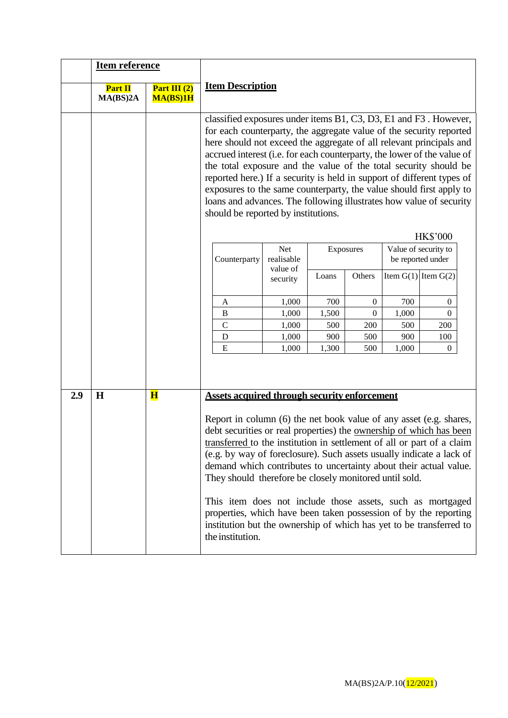|     | <b>Item reference</b> |                            |                         |                                                                                                                                                                                                                                                                                                                                                                                                                                                                                                                                                                                                                                                                |                      |           |                  |       |                                                              |  |
|-----|-----------------------|----------------------------|-------------------------|----------------------------------------------------------------------------------------------------------------------------------------------------------------------------------------------------------------------------------------------------------------------------------------------------------------------------------------------------------------------------------------------------------------------------------------------------------------------------------------------------------------------------------------------------------------------------------------------------------------------------------------------------------------|----------------------|-----------|------------------|-------|--------------------------------------------------------------|--|
|     | Part II<br>MA(BS)2A   | Part III $(2)$<br>MA(BS)1H | <b>Item Description</b> |                                                                                                                                                                                                                                                                                                                                                                                                                                                                                                                                                                                                                                                                |                      |           |                  |       |                                                              |  |
|     |                       |                            |                         | classified exposures under items B1, C3, D3, E1 and F3. However,<br>for each counterparty, the aggregate value of the security reported<br>here should not exceed the aggregate of all relevant principals and<br>accrued interest (i.e. for each counterparty, the lower of the value of<br>the total exposure and the value of the total security should be<br>reported here.) If a security is held in support of different types of<br>exposures to the same counterparty, the value should first apply to<br>loans and advances. The following illustrates how value of security<br>should be reported by institutions.                                   |                      |           |                  |       |                                                              |  |
|     |                       |                            |                         | Counterparty                                                                                                                                                                                                                                                                                                                                                                                                                                                                                                                                                                                                                                                   | Net<br>realisable    | Exposures |                  |       | <b>HK\$'000</b><br>Value of security to<br>be reported under |  |
|     |                       |                            |                         |                                                                                                                                                                                                                                                                                                                                                                                                                                                                                                                                                                                                                                                                | value of<br>security | Loans     | Others           |       | Item $G(1)$ Item $G(2)$                                      |  |
|     |                       |                            |                         | A                                                                                                                                                                                                                                                                                                                                                                                                                                                                                                                                                                                                                                                              | 1,000                | 700       | $\mathbf{0}$     | 700   | $\overline{0}$                                               |  |
|     |                       |                            |                         | $\, {\bf B}$                                                                                                                                                                                                                                                                                                                                                                                                                                                                                                                                                                                                                                                   | 1,000                | 1,500     | $\boldsymbol{0}$ | 1,000 | $\overline{0}$                                               |  |
|     |                       |                            |                         | $\mathbf C$                                                                                                                                                                                                                                                                                                                                                                                                                                                                                                                                                                                                                                                    | 1,000                | 500       | 200              | 500   | 200                                                          |  |
|     |                       |                            |                         | D                                                                                                                                                                                                                                                                                                                                                                                                                                                                                                                                                                                                                                                              | 1,000                | 900       | 500              | 900   | 100                                                          |  |
|     |                       |                            |                         | E                                                                                                                                                                                                                                                                                                                                                                                                                                                                                                                                                                                                                                                              | 1,000                | 1,300     | 500              | 1,000 | 0                                                            |  |
|     |                       |                            |                         |                                                                                                                                                                                                                                                                                                                                                                                                                                                                                                                                                                                                                                                                |                      |           |                  |       |                                                              |  |
| 2.9 | H                     | $\mathbf{H}$               |                         | <b>Assets acquired through security enforcement</b>                                                                                                                                                                                                                                                                                                                                                                                                                                                                                                                                                                                                            |                      |           |                  |       |                                                              |  |
|     |                       |                            |                         | Report in column (6) the net book value of any asset (e.g. shares,<br>debt securities or real properties) the <u>ownership of which has been</u><br>transferred to the institution in settlement of all or part of a claim<br>(e.g. by way of foreclosure). Such assets usually indicate a lack of<br>demand which contributes to uncertainty about their actual value.<br>They should therefore be closely monitored until sold.<br>This item does not include those assets, such as mortgaged<br>properties, which have been taken possession of by the reporting<br>institution but the ownership of which has yet to be transferred to<br>the institution. |                      |           |                  |       |                                                              |  |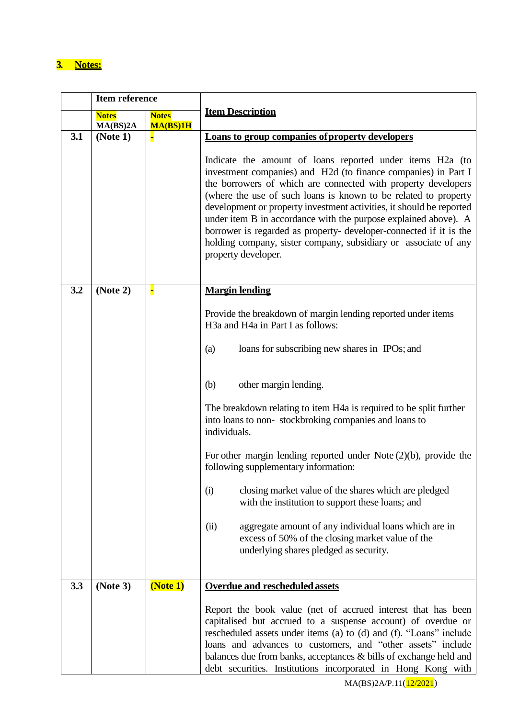# **3. Notes:**

|     | <b>Item reference</b>    |                          |                                                                                                                                                                                                                                                                                                                                                                                                                                                                                                                                                                                                                                                                                                                                                                    |  |  |
|-----|--------------------------|--------------------------|--------------------------------------------------------------------------------------------------------------------------------------------------------------------------------------------------------------------------------------------------------------------------------------------------------------------------------------------------------------------------------------------------------------------------------------------------------------------------------------------------------------------------------------------------------------------------------------------------------------------------------------------------------------------------------------------------------------------------------------------------------------------|--|--|
|     | <b>Notes</b><br>MA(BS)2A | <b>Notes</b><br>MA(BS)1H | <b>Item Description</b>                                                                                                                                                                                                                                                                                                                                                                                                                                                                                                                                                                                                                                                                                                                                            |  |  |
| 3.1 | (Note 1)                 | н                        | Loans to group companies of property developers<br>Indicate the amount of loans reported under items H2a (to<br>investment companies) and H2d (to finance companies) in Part I<br>the borrowers of which are connected with property developers<br>(where the use of such loans is known to be related to property<br>development or property investment activities, it should be reported<br>under item B in accordance with the purpose explained above). A<br>borrower is regarded as property- developer-connected if it is the<br>holding company, sister company, subsidiary or associate of any<br>property developer.                                                                                                                                      |  |  |
| 3.2 | (Note 2)                 | F                        | <b>Margin lending</b><br>Provide the breakdown of margin lending reported under items<br>H3a and H4a in Part I as follows:<br>loans for subscribing new shares in IPOs; and<br>(a)<br>(b)<br>other margin lending.<br>The breakdown relating to item H4a is required to be split further<br>into loans to non-stockbroking companies and loans to<br>individuals.<br>For other margin lending reported under Note $(2)(b)$ , provide the<br>following supplementary information:<br>closing market value of the shares which are pledged<br>(i)<br>with the institution to support these loans; and<br>aggregate amount of any individual loans which are in<br>(ii)<br>excess of 50% of the closing market value of the<br>underlying shares pledged as security. |  |  |
| 3.3 | (Note 3)                 | (Note 1)                 | <b>Overdue and rescheduled assets</b><br>Report the book value (net of accrued interest that has been<br>capitalised but accrued to a suspense account) of overdue or<br>rescheduled assets under items (a) to (d) and (f). "Loans" include<br>loans and advances to customers, and "other assets" include<br>balances due from banks, acceptances & bills of exchange held and<br>debt securities. Institutions incorporated in Hong Kong with                                                                                                                                                                                                                                                                                                                    |  |  |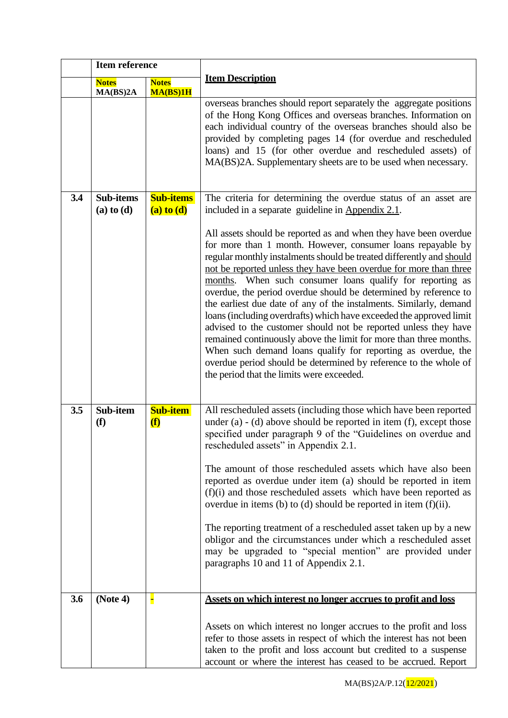|     | <b>Item reference</b>              |                                                |                                                                                                                                                                                                                                                                                                                                                                                                                                                                                                                                                                                                                                                                                                                                                                                                                                                                                     |  |  |
|-----|------------------------------------|------------------------------------------------|-------------------------------------------------------------------------------------------------------------------------------------------------------------------------------------------------------------------------------------------------------------------------------------------------------------------------------------------------------------------------------------------------------------------------------------------------------------------------------------------------------------------------------------------------------------------------------------------------------------------------------------------------------------------------------------------------------------------------------------------------------------------------------------------------------------------------------------------------------------------------------------|--|--|
|     | <b>Notes</b><br>MA(BS)2A           | <b>Notes</b><br>MA(BS)1H                       | <b>Item Description</b>                                                                                                                                                                                                                                                                                                                                                                                                                                                                                                                                                                                                                                                                                                                                                                                                                                                             |  |  |
|     |                                    |                                                | overseas branches should report separately the aggregate positions<br>of the Hong Kong Offices and overseas branches. Information on<br>each individual country of the overseas branches should also be<br>provided by completing pages 14 (for overdue and rescheduled<br>loans) and 15 (for other overdue and rescheduled assets) of<br>MA(BS)2A. Supplementary sheets are to be used when necessary.                                                                                                                                                                                                                                                                                                                                                                                                                                                                             |  |  |
| 3.4 | <b>Sub-items</b><br>$(a)$ to $(d)$ | <b>Sub-items</b><br>$(a)$ to $(d)$             | The criteria for determining the overdue status of an asset are<br>included in a separate guideline in Appendix 2.1.                                                                                                                                                                                                                                                                                                                                                                                                                                                                                                                                                                                                                                                                                                                                                                |  |  |
|     |                                    |                                                | All assets should be reported as and when they have been overdue<br>for more than 1 month. However, consumer loans repayable by<br>regular monthly instalments should be treated differently and should<br>not be reported unless they have been overdue for more than three<br>months. When such consumer loans qualify for reporting as<br>overdue, the period overdue should be determined by reference to<br>the earliest due date of any of the instalments. Similarly, demand<br>loans (including overdrafts) which have exceeded the approved limit<br>advised to the customer should not be reported unless they have<br>remained continuously above the limit for more than three months.<br>When such demand loans qualify for reporting as overdue, the<br>overdue period should be determined by reference to the whole of<br>the period that the limits were exceeded. |  |  |
| 3.5 | Sub-item<br>(f)                    | <b>Sub-item</b><br>$\left( \textbf{f} \right)$ | All rescheduled assets (including those which have been reported<br>under $(a) - (d)$ above should be reported in item $(f)$ , except those<br>specified under paragraph 9 of the "Guidelines on overdue and<br>rescheduled assets" in Appendix 2.1.                                                                                                                                                                                                                                                                                                                                                                                                                                                                                                                                                                                                                                |  |  |
|     |                                    |                                                | The amount of those rescheduled assets which have also been<br>reported as overdue under item (a) should be reported in item<br>$(f)(i)$ and those rescheduled assets which have been reported as<br>overdue in items (b) to (d) should be reported in item $(f)(ii)$ .                                                                                                                                                                                                                                                                                                                                                                                                                                                                                                                                                                                                             |  |  |
|     |                                    |                                                | The reporting treatment of a rescheduled asset taken up by a new<br>obligor and the circumstances under which a rescheduled asset<br>may be upgraded to "special mention" are provided under<br>paragraphs 10 and 11 of Appendix 2.1.                                                                                                                                                                                                                                                                                                                                                                                                                                                                                                                                                                                                                                               |  |  |
| 3.6 | (Note 4)                           |                                                | Assets on which interest no longer accrues to profit and loss                                                                                                                                                                                                                                                                                                                                                                                                                                                                                                                                                                                                                                                                                                                                                                                                                       |  |  |
|     |                                    |                                                | Assets on which interest no longer accrues to the profit and loss<br>refer to those assets in respect of which the interest has not been<br>taken to the profit and loss account but credited to a suspense<br>account or where the interest has ceased to be accrued. Report                                                                                                                                                                                                                                                                                                                                                                                                                                                                                                                                                                                                       |  |  |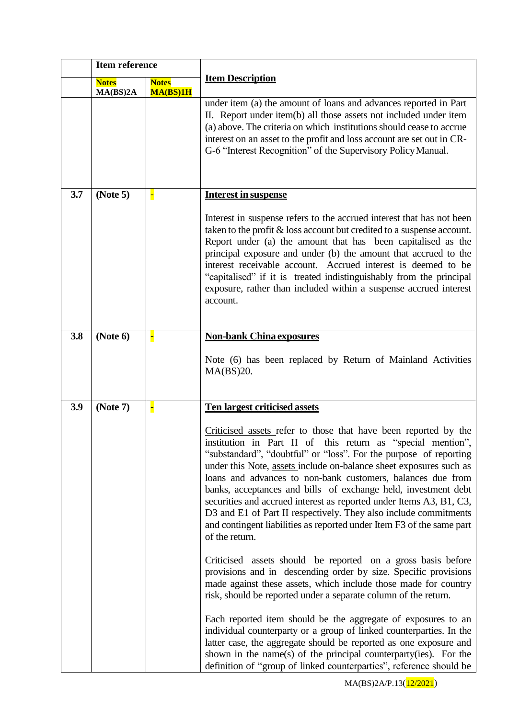|     | <b>Item reference</b>    |                          |                                                                                                                                                                                                                                                                                                                                                                                                                                                                                                                                                                                                                                                  |  |  |
|-----|--------------------------|--------------------------|--------------------------------------------------------------------------------------------------------------------------------------------------------------------------------------------------------------------------------------------------------------------------------------------------------------------------------------------------------------------------------------------------------------------------------------------------------------------------------------------------------------------------------------------------------------------------------------------------------------------------------------------------|--|--|
|     | <b>Notes</b><br>MA(BS)2A | <b>Notes</b><br>MA(BS)1H | <b>Item Description</b>                                                                                                                                                                                                                                                                                                                                                                                                                                                                                                                                                                                                                          |  |  |
|     |                          |                          | under item (a) the amount of loans and advances reported in Part<br>II. Report under item(b) all those assets not included under item<br>(a) above. The criteria on which institutions should cease to accrue<br>interest on an asset to the profit and loss account are set out in CR-<br>G-6 "Interest Recognition" of the Supervisory Policy Manual.                                                                                                                                                                                                                                                                                          |  |  |
| 3.7 | (Note 5)                 |                          | <b>Interest in suspense</b>                                                                                                                                                                                                                                                                                                                                                                                                                                                                                                                                                                                                                      |  |  |
|     |                          |                          | Interest in suspense refers to the accrued interest that has not been<br>taken to the profit & loss account but credited to a suspense account.<br>Report under (a) the amount that has been capitalised as the<br>principal exposure and under (b) the amount that accrued to the<br>interest receivable account. Accrued interest is deemed to be<br>"capitalised" if it is treated indistinguishably from the principal<br>exposure, rather than included within a suspense accrued interest<br>account.                                                                                                                                      |  |  |
| 3.8 | (Note 6)                 | F                        | <b>Non-bank China exposures</b>                                                                                                                                                                                                                                                                                                                                                                                                                                                                                                                                                                                                                  |  |  |
|     |                          |                          | Note (6) has been replaced by Return of Mainland Activities<br>MA(BS)20.                                                                                                                                                                                                                                                                                                                                                                                                                                                                                                                                                                         |  |  |
| 3.9 | (Note 7)                 |                          | <b>Ten largest criticised assets</b>                                                                                                                                                                                                                                                                                                                                                                                                                                                                                                                                                                                                             |  |  |
|     |                          |                          | Criticised assets refer to those that have been reported by the<br>institution in Part II of this return as "special mention",<br>"substandard", "doubtful" or "loss". For the purpose of reporting<br>under this Note, assets include on-balance sheet exposures such as<br>loans and advances to non-bank customers, balances due from<br>banks, acceptances and bills of exchange held, investment debt<br>securities and accrued interest as reported under Items A3, B1, C3,<br>D3 and E1 of Part II respectively. They also include commitments<br>and contingent liabilities as reported under Item F3 of the same part<br>of the return. |  |  |
|     |                          |                          | Criticised assets should be reported on a gross basis before<br>provisions and in descending order by size. Specific provisions<br>made against these assets, which include those made for country<br>risk, should be reported under a separate column of the return.                                                                                                                                                                                                                                                                                                                                                                            |  |  |
|     |                          |                          | Each reported item should be the aggregate of exposures to an<br>individual counterparty or a group of linked counterparties. In the<br>latter case, the aggregate should be reported as one exposure and<br>shown in the name(s) of the principal counterparty(ies). For the<br>definition of "group of linked counterparties", reference should be                                                                                                                                                                                                                                                                                             |  |  |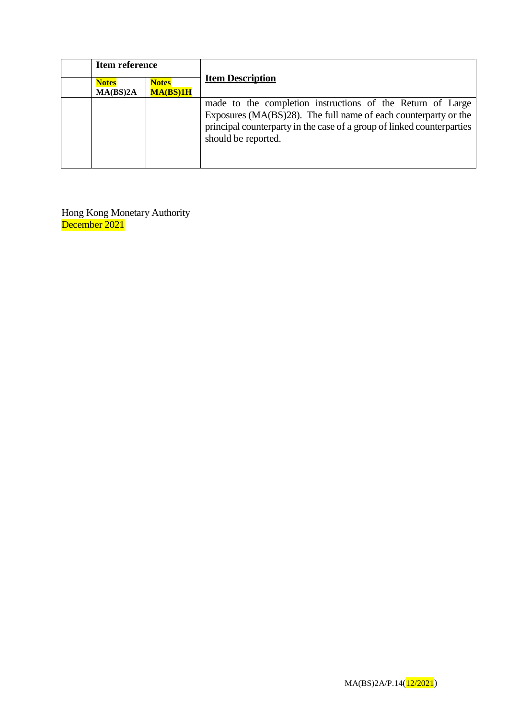| Item reference           |                          |                                                                                                                                                                                                                                |  |
|--------------------------|--------------------------|--------------------------------------------------------------------------------------------------------------------------------------------------------------------------------------------------------------------------------|--|
| <b>Notes</b><br>MA(BS)2A | <b>Notes</b><br>MA(BS)1H | <b>Item Description</b>                                                                                                                                                                                                        |  |
|                          |                          | made to the completion instructions of the Return of Large<br>Exposures (MA(BS)28). The full name of each counterparty or the<br>principal counterparty in the case of a group of linked counterparties<br>should be reported. |  |

Hong Kong Monetary Authority December 2021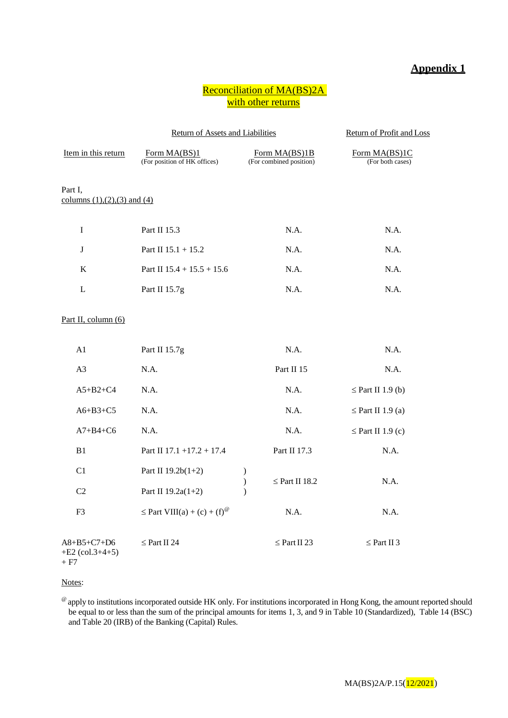#### **Appendix 1**

#### Reconciliation of MA(BS)2A with other returns

|                                              | Return of Assets and Liabilities             | Return of Profit and Loss                       |                                   |
|----------------------------------------------|----------------------------------------------|-------------------------------------------------|-----------------------------------|
| Item in this return                          | Form MA(BS)1<br>(For position of HK offices) | Form MA(BS)1B<br>(For combined position)        | Form MA(BS)1C<br>(For both cases) |
| Part I,<br>columns $(1), (2), (3)$ and $(4)$ |                                              |                                                 |                                   |
| $\mathbf I$                                  | Part II 15.3                                 | N.A.                                            | N.A.                              |
| J                                            | Part II $15.1 + 15.2$                        | N.A.                                            | N.A.                              |
| $\bf K$                                      | Part II $15.4 + 15.5 + 15.6$                 | N.A.                                            | N.A.                              |
| L                                            | Part II 15.7g                                | N.A.                                            | N.A.                              |
| Part II, column (6)                          |                                              |                                                 |                                   |
| A1                                           | Part II 15.7g                                | N.A.                                            | N.A.                              |
| A <sub>3</sub>                               | N.A.                                         | Part II 15                                      | N.A.                              |
| $A5+B2+C4$                                   | N.A.                                         | N.A.                                            | $\leq$ Part II 1.9 (b)            |
| $A6+B3+C5$                                   | N.A.                                         | N.A.                                            | $\leq$ Part II 1.9 (a)            |
| $A7+B4+C6$                                   | N.A.                                         | N.A.                                            | $\leq$ Part II 1.9 (c)            |
| B1                                           | Part II 17.1 +17.2 + 17.4                    | Part II 17.3                                    | N.A.                              |
| C1                                           | Part II 19.2b(1+2)                           | $\mathcal{E}$                                   |                                   |
| C2                                           | Part II 19.2a(1+2)                           | $\big)$<br>$\leq$ Part II 18.2<br>$\mathcal{E}$ | N.A.                              |
| F <sub>3</sub>                               | $\leq$ Part VIII(a) + (c) + (f) <sup>@</sup> | N.A.                                            | N.A.                              |
| A8+B5+C7+D6<br>$+E2$ (col.3+4+5)<br>+ F7     | $\leq$ Part II 24                            | $\leq$ Part II 23                               | $\leq$ Part II 3                  |

#### Notes:

<sup>@</sup> apply to institutions incorporated outside HK only. For institutions incorporated in Hong Kong, the amount reported should be equal to or less than the sum of the principal amounts for items 1, 3, and 9 in Table 10 (Standardized), Table 14 (BSC) and Table 20 (IRB) of the Banking (Capital) Rules.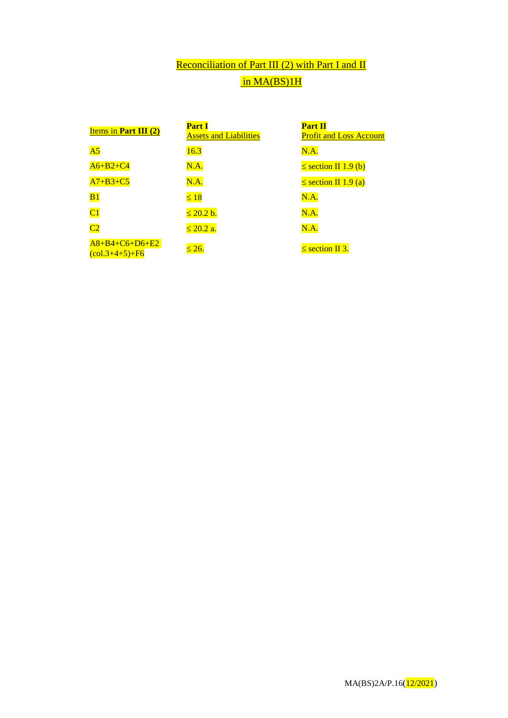# Reconciliation of Part III (2) with Part I and II in MA(BS)1H

| Items in Part III $(2)$                                        | <b>Part I</b><br><b>Assets and Liabilities</b> | <b>Part II</b><br><b>Profit and Loss Account</b> |
|----------------------------------------------------------------|------------------------------------------------|--------------------------------------------------|
| A <sub>5</sub>                                                 | 16.3                                           | N.A.                                             |
| $A6+B2+C4$                                                     | N.A.                                           | $\leq$ section II 1.9 (b)                        |
| $A7+B3+C5$                                                     | N.A.                                           | $\leq$ section II 1.9 (a)                        |
| B1                                                             | $\leq 18$                                      | N.A.                                             |
| $\overline{\text{C1}}$                                         | $\leq 20.2$ b.                                 | N.A.                                             |
| C2                                                             | $\leq 20.2$ a.                                 | N.A.                                             |
| $A8+B4+C6+D6+E2$<br>$\frac{\text{(col.3+4+5)} + \text{F6}}{1}$ | $\leq 26.$                                     | $\leq$ section II 3.                             |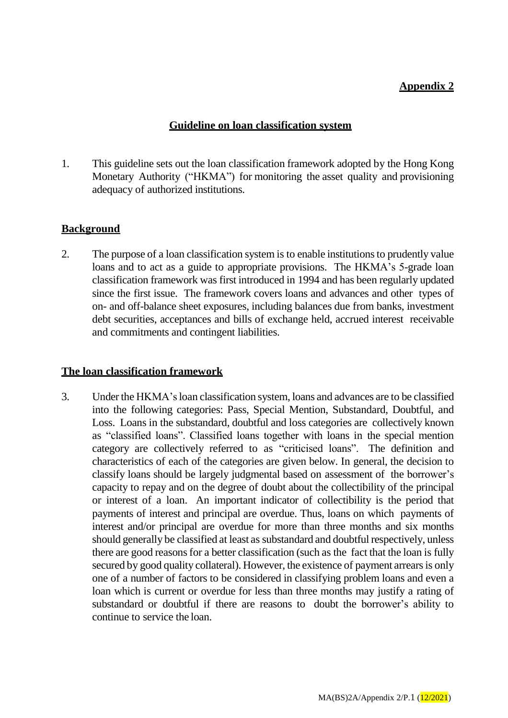#### **Appendix 2**

#### **Guideline on loan classification system**

1. This guideline sets out the loan classification framework adopted by the Hong Kong Monetary Authority ("HKMA") for monitoring the asset quality and provisioning adequacy of authorized institutions.

#### **Background**

2. The purpose of a loan classification system is to enable institutions to prudently value loans and to act as a guide to appropriate provisions. The HKMA's 5-grade loan classification framework was first introduced in 1994 and has been regularly updated since the first issue. The framework covers loans and advances and other types of on- and off-balance sheet exposures, including balances due from banks, investment debt securities, acceptances and bills of exchange held, accrued interest receivable and commitments and contingent liabilities.

#### **The loan classification framework**

3. Under the HKMA's loan classification system, loans and advances are to be classified into the following categories: Pass, Special Mention, Substandard, Doubtful, and Loss. Loans in the substandard, doubtful and loss categories are collectively known as "classified loans". Classified loans together with loans in the special mention category are collectively referred to as "criticised loans". The definition and characteristics of each of the categories are given below. In general, the decision to classify loans should be largely judgmental based on assessment of the borrower's capacity to repay and on the degree of doubt about the collectibility of the principal or interest of a loan. An important indicator of collectibility is the period that payments of interest and principal are overdue. Thus, loans on which payments of interest and/or principal are overdue for more than three months and six months should generally be classified at least as substandard and doubtful respectively, unless there are good reasons for a better classification (such as the fact that the loan is fully secured by good quality collateral). However, the existence of payment arrears is only one of a number of factors to be considered in classifying problem loans and even a loan which is current or overdue for less than three months may justify a rating of substandard or doubtful if there are reasons to doubt the borrower's ability to continue to service the loan.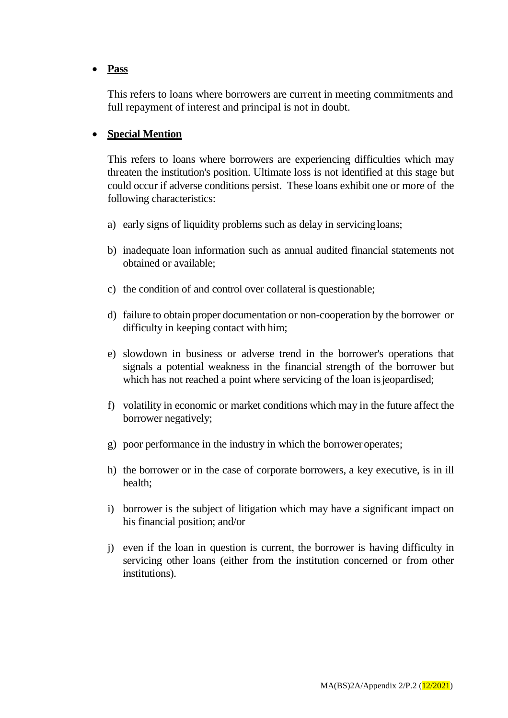#### **Pass**

This refers to loans where borrowers are current in meeting commitments and full repayment of interest and principal is not in doubt.

#### **Special Mention**

This refers to loans where borrowers are experiencing difficulties which may threaten the institution's position. Ultimate loss is not identified at this stage but could occur if adverse conditions persist. These loans exhibit one or more of the following characteristics:

- a) early signs of liquidity problems such as delay in servicingloans;
- b) inadequate loan information such as annual audited financial statements not obtained or available;
- c) the condition of and control over collateral is questionable;
- d) failure to obtain proper documentation or non-cooperation by the borrower or difficulty in keeping contact with him;
- e) slowdown in business or adverse trend in the borrower's operations that signals a potential weakness in the financial strength of the borrower but which has not reached a point where servicing of the loan is jeopardised;
- f) volatility in economic or market conditions which may in the future affect the borrower negatively;
- g) poor performance in the industry in which the borroweroperates;
- h) the borrower or in the case of corporate borrowers, a key executive, is in ill health;
- i) borrower is the subject of litigation which may have a significant impact on his financial position; and/or
- j) even if the loan in question is current, the borrower is having difficulty in servicing other loans (either from the institution concerned or from other institutions).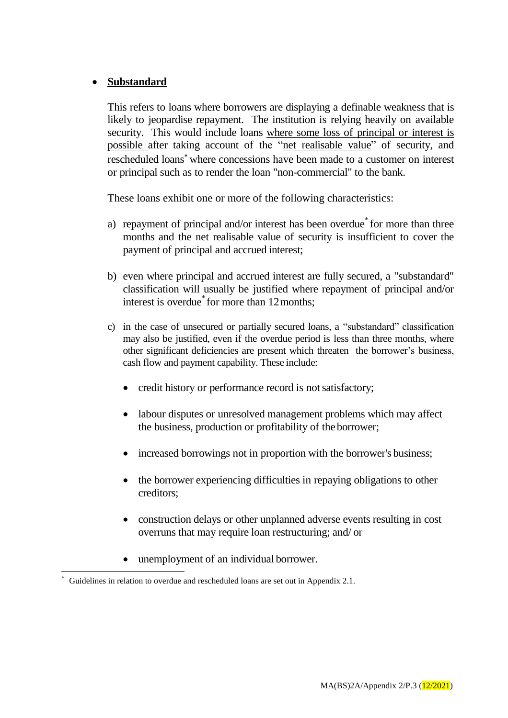### **Substandard**

This refers to loans where borrowers are displaying a definable weakness that is likely to jeopardise repayment. The institution is relying heavily on available security. This would include loans where some loss of principal or interest is possible after taking account of the "net realisable value" of security, and rescheduled loans<sup>\*</sup> where concessions have been made to a customer on interest or principal such as to render the loan "non-commercial" to the bank.

These loans exhibit one or more of the following characteristics:

- a) repayment of principal and/or interest has been overdue for more than three months and the net realisable value of security is insufficient to cover the payment of principal and accrued interest;
- b) even where principal and accrued interest are fully secured, a "substandard" classification will usually be justified where repayment of principal and/or interest is overdue<sup>\*</sup> for more than 12 months;
- c) in the case of unsecured or partially secured loans, a "substandard" classification may also be justified, even if the overdue period is less than three months, where other significant deficiencies are present which threaten the borrower's business, cash flow and payment capability. These include:
	- credit history or performance record is not satisfactory;
	- labour disputes or unresolved management problems which may affect the business, production or profitability of the borrower;
	- increased borrowings not in proportion with the borrower's business;
	- the borrower experiencing difficulties in repaying obligations to other creditors;
	- construction delays or other unplanned adverse events resulting in cost overruns that may require loan restructuring; and/ or
	- unemployment of an individual borrower.

Guidelines in relation to overdue and rescheduled loans are set out in Appendix 2.1.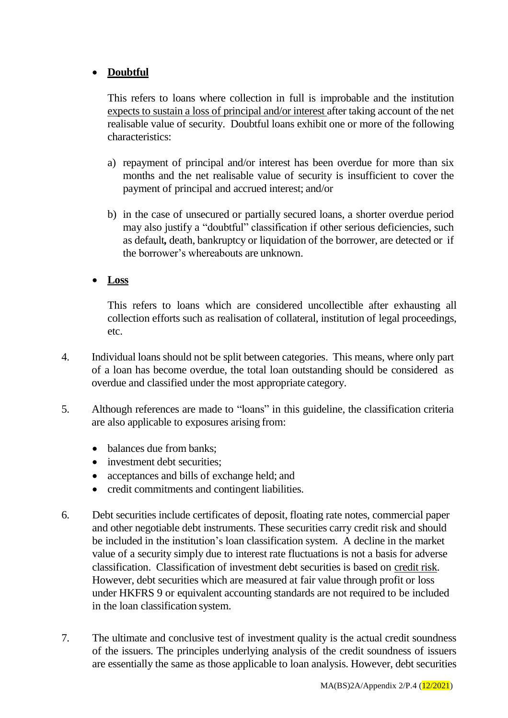## **Doubtful**

This refers to loans where collection in full is improbable and the institution expects to sustain a loss of principal and/or interest after taking account of the net realisable value of security. Doubtful loans exhibit one or more of the following characteristics:

- a) repayment of principal and/or interest has been overdue for more than six months and the net realisable value of security is insufficient to cover the payment of principal and accrued interest; and/or
- b) in the case of unsecured or partially secured loans, a shorter overdue period may also justify a "doubtful" classification if other serious deficiencies, such as default*,* death, bankruptcy or liquidation of the borrower, are detected or if the borrower's whereabouts are unknown.
- **Loss**

This refers to loans which are considered uncollectible after exhausting all collection efforts such as realisation of collateral, institution of legal proceedings, etc.

- 4. Individual loans should not be split between categories. This means, where only part of a loan has become overdue, the total loan outstanding should be considered as overdue and classified under the most appropriate category.
- 5. Although references are made to "loans" in this guideline, the classification criteria are also applicable to exposures arising from:
	- balances due from banks:
	- investment debt securities;
	- acceptances and bills of exchange held; and
	- credit commitments and contingent liabilities.
- 6. Debt securities include certificates of deposit, floating rate notes, commercial paper and other negotiable debt instruments. These securities carry credit risk and should be included in the institution's loan classification system. A decline in the market value of a security simply due to interest rate fluctuations is not a basis for adverse classification. Classification of investment debt securities is based on credit risk. However, debt securities which are measured at fair value through profit or loss under HKFRS 9 or equivalent accounting standards are not required to be included in the loan classification system.
- 7. The ultimate and conclusive test of investment quality is the actual credit soundness of the issuers. The principles underlying analysis of the credit soundness of issuers are essentially the same as those applicable to loan analysis. However, debt securities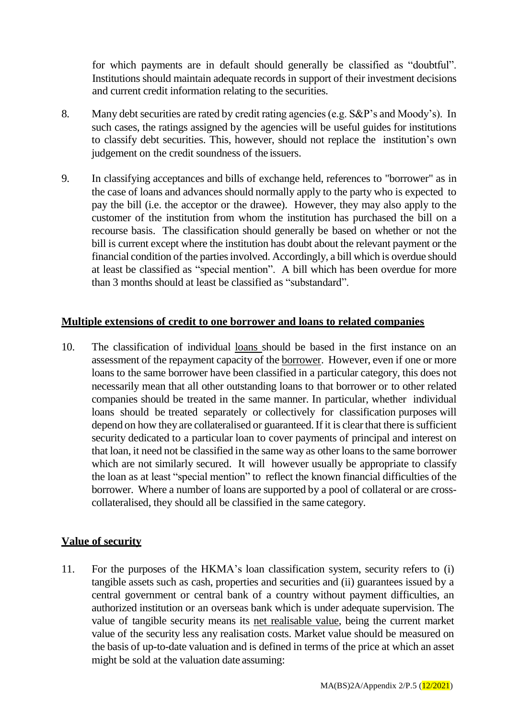for which payments are in default should generally be classified as "doubtful". Institutions should maintain adequate records in support of their investment decisions and current credit information relating to the securities.

- 8. Many debt securities are rated by credit rating agencies (e.g. S&P's and Moody's). In such cases, the ratings assigned by the agencies will be useful guides for institutions to classify debt securities. This, however, should not replace the institution's own judgement on the credit soundness of the issuers.
- 9. In classifying acceptances and bills of exchange held, references to "borrower" as in the case of loans and advances should normally apply to the party who is expected to pay the bill (i.e. the acceptor or the drawee). However, they may also apply to the customer of the institution from whom the institution has purchased the bill on a recourse basis. The classification should generally be based on whether or not the bill is current except where the institution has doubt about the relevant payment or the financial condition of the parties involved. Accordingly, a bill which is overdue should at least be classified as "special mention". A bill which has been overdue for more than 3 months should at least be classified as "substandard".

#### **Multiple extensions of credit to one borrower and loans to related companies**

10. The classification of individual loans should be based in the first instance on an assessment of the repayment capacity of the borrower. However, even if one or more loans to the same borrower have been classified in a particular category, this does not necessarily mean that all other outstanding loans to that borrower or to other related companies should be treated in the same manner. In particular, whether individual loans should be treated separately or collectively for classification purposes will depend on how they are collateralised or guaranteed. If it is clear that there is sufficient security dedicated to a particular loan to cover payments of principal and interest on that loan, it need not be classified in the same way as other loans to the same borrower which are not similarly secured. It will however usually be appropriate to classify the loan as at least "special mention" to reflect the known financial difficulties of the borrower. Where a number of loans are supported by a pool of collateral or are crosscollateralised, they should all be classified in the same category.

#### **Value of security**

11. For the purposes of the HKMA's loan classification system, security refers to (i) tangible assets such as cash, properties and securities and (ii) guarantees issued by a central government or central bank of a country without payment difficulties, an authorized institution or an overseas bank which is under adequate supervision. The value of tangible security means its net realisable value, being the current market value of the security less any realisation costs. Market value should be measured on the basis of up-to-date valuation and is defined in terms of the price at which an asset might be sold at the valuation date assuming: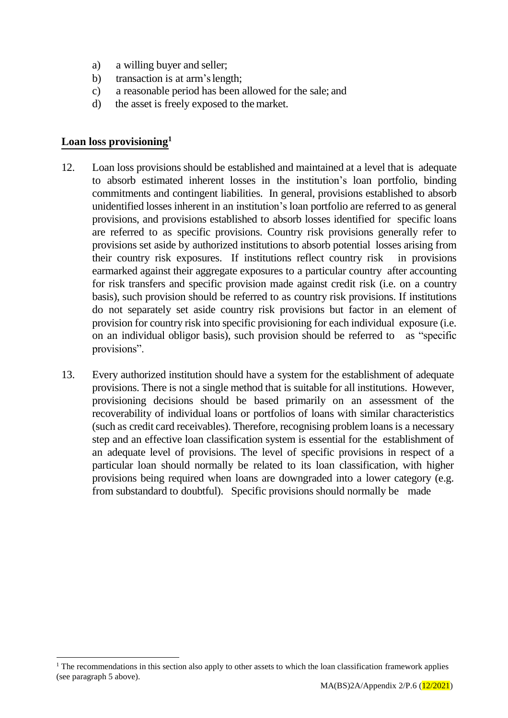- a) a willing buyer and seller;
- b) transaction is at arm'slength;
- c) a reasonable period has been allowed for the sale; and
- d) the asset is freely exposed to the market.

#### **Loan loss provisioning<sup>1</sup>**

l

- 12. Loan loss provisions should be established and maintained at a level that is adequate to absorb estimated inherent losses in the institution's loan portfolio, binding commitments and contingent liabilities. In general, provisions established to absorb unidentified losses inherent in an institution's loan portfolio are referred to as general provisions, and provisions established to absorb losses identified for specific loans are referred to as specific provisions. Country risk provisions generally refer to provisions set aside by authorized institutions to absorb potential losses arising from their country risk exposures. If institutions reflect country risk in provisions earmarked against their aggregate exposures to a particular country after accounting for risk transfers and specific provision made against credit risk (i.e. on a country basis), such provision should be referred to as country risk provisions. If institutions do not separately set aside country risk provisions but factor in an element of provision for country risk into specific provisioning for each individual exposure (i.e. on an individual obligor basis), such provision should be referred to as "specific provisions".
- 13. Every authorized institution should have a system for the establishment of adequate provisions. There is not a single method that is suitable for all institutions. However, provisioning decisions should be based primarily on an assessment of the recoverability of individual loans or portfolios of loans with similar characteristics (such as credit card receivables). Therefore, recognising problem loans is a necessary step and an effective loan classification system is essential for the establishment of an adequate level of provisions. The level of specific provisions in respect of a particular loan should normally be related to its loan classification, with higher provisions being required when loans are downgraded into a lower category (e.g. from substandard to doubtful). Specific provisions should normally be made

<sup>&</sup>lt;sup>1</sup> The recommendations in this section also apply to other assets to which the loan classification framework applies (see paragraph 5 above).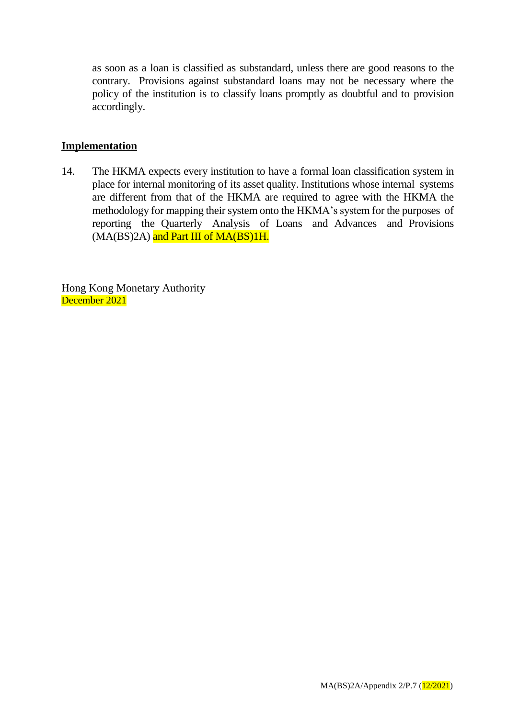as soon as a loan is classified as substandard, unless there are good reasons to the contrary. Provisions against substandard loans may not be necessary where the policy of the institution is to classify loans promptly as doubtful and to provision accordingly.

#### **Implementation**

14. The HKMA expects every institution to have a formal loan classification system in place for internal monitoring of its asset quality. Institutions whose internal systems are different from that of the HKMA are required to agree with the HKMA the methodology for mapping their system onto the HKMA's system for the purposes of reporting the Quarterly Analysis of Loans and Advances and Provisions (MA(BS)2A) and Part III of MA(BS)1H.

Hong Kong Monetary Authority December 2021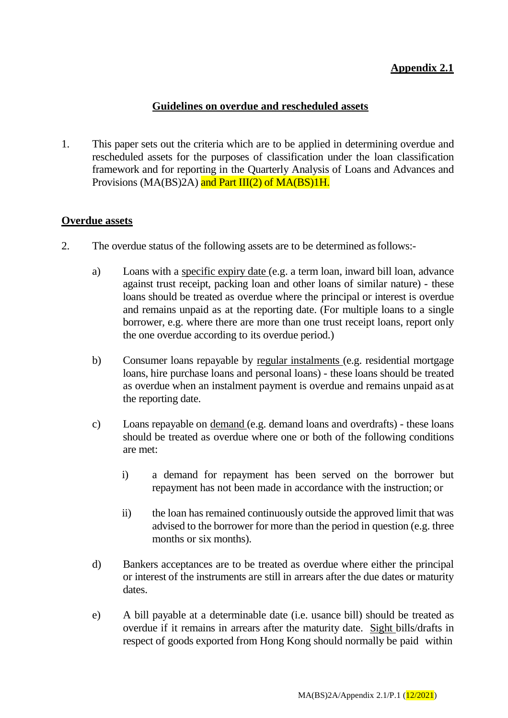# **Appendix 2.1**

#### **Guidelines on overdue and rescheduled assets**

1. This paper sets out the criteria which are to be applied in determining overdue and rescheduled assets for the purposes of classification under the loan classification framework and for reporting in the Quarterly Analysis of Loans and Advances and Provisions (MA(BS)2A) and Part III(2) of MA(BS)1H.

#### **Overdue assets**

- 2. The overdue status of the following assets are to be determined asfollows:
	- a) Loans with a specific expiry date (e.g. a term loan, inward bill loan, advance against trust receipt, packing loan and other loans of similar nature) - these loans should be treated as overdue where the principal or interest is overdue and remains unpaid as at the reporting date. (For multiple loans to a single borrower, e.g. where there are more than one trust receipt loans, report only the one overdue according to its overdue period.)
	- b) Consumer loans repayable by regular instalments (e.g. residential mortgage loans, hire purchase loans and personal loans) - these loans should be treated as overdue when an instalment payment is overdue and remains unpaid as at the reporting date.
	- c) Loans repayable on demand (e.g. demand loans and overdrafts) these loans should be treated as overdue where one or both of the following conditions are met:
		- i) a demand for repayment has been served on the borrower but repayment has not been made in accordance with the instruction; or
		- ii) the loan has remained continuously outside the approved limit that was advised to the borrower for more than the period in question (e.g. three months or six months).
	- d) Bankers acceptances are to be treated as overdue where either the principal or interest of the instruments are still in arrears after the due dates or maturity dates.
	- e) A bill payable at a determinable date (i.e. usance bill) should be treated as overdue if it remains in arrears after the maturity date. Sight bills/drafts in respect of goods exported from Hong Kong should normally be paid within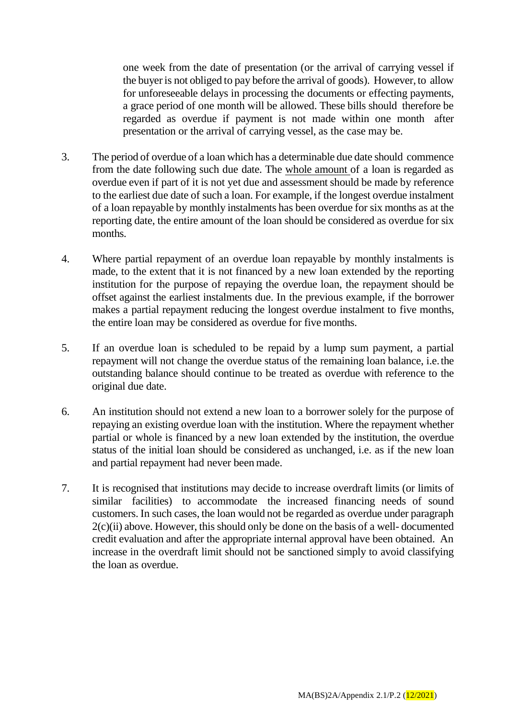one week from the date of presentation (or the arrival of carrying vessel if the buyer is not obliged to pay before the arrival of goods). However, to allow for unforeseeable delays in processing the documents or effecting payments, a grace period of one month will be allowed. These bills should therefore be regarded as overdue if payment is not made within one month after presentation or the arrival of carrying vessel, as the case may be.

- 3. The period of overdue of a loan which has a determinable due date should commence from the date following such due date. The whole amount of a loan is regarded as overdue even if part of it is not yet due and assessment should be made by reference to the earliest due date of such a loan. For example, if the longest overdue instalment of a loan repayable by monthly instalments has been overdue for six months as at the reporting date, the entire amount of the loan should be considered as overdue for six months.
- 4. Where partial repayment of an overdue loan repayable by monthly instalments is made, to the extent that it is not financed by a new loan extended by the reporting institution for the purpose of repaying the overdue loan, the repayment should be offset against the earliest instalments due. In the previous example, if the borrower makes a partial repayment reducing the longest overdue instalment to five months, the entire loan may be considered as overdue for five months.
- 5. If an overdue loan is scheduled to be repaid by a lump sum payment, a partial repayment will not change the overdue status of the remaining loan balance, i.e.the outstanding balance should continue to be treated as overdue with reference to the original due date.
- 6. An institution should not extend a new loan to a borrower solely for the purpose of repaying an existing overdue loan with the institution. Where the repayment whether partial or whole is financed by a new loan extended by the institution, the overdue status of the initial loan should be considered as unchanged, i.e. as if the new loan and partial repayment had never been made.
- 7. It is recognised that institutions may decide to increase overdraft limits (or limits of similar facilities) to accommodate the increased financing needs of sound customers. In such cases, the loan would not be regarded as overdue under paragraph  $2(c)(ii)$  above. However, this should only be done on the basis of a well-documented credit evaluation and after the appropriate internal approval have been obtained. An increase in the overdraft limit should not be sanctioned simply to avoid classifying the loan as overdue.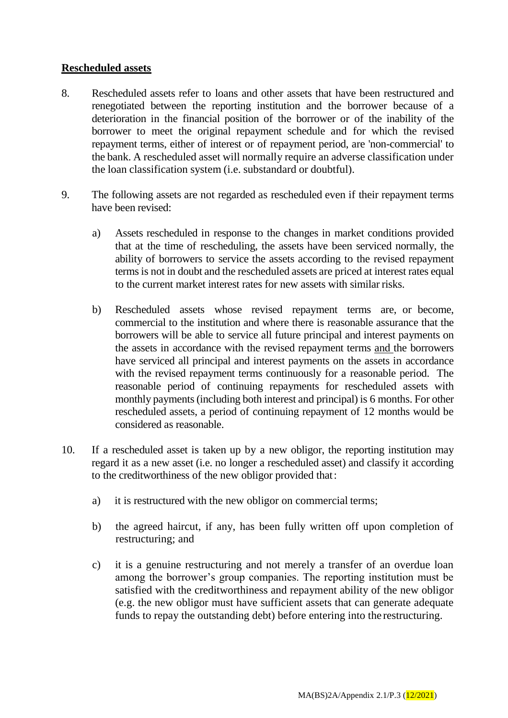#### **Rescheduled assets**

- 8. Rescheduled assets refer to loans and other assets that have been restructured and renegotiated between the reporting institution and the borrower because of a deterioration in the financial position of the borrower or of the inability of the borrower to meet the original repayment schedule and for which the revised repayment terms, either of interest or of repayment period, are 'non-commercial' to the bank. A rescheduled asset will normally require an adverse classification under the loan classification system (i.e. substandard or doubtful).
- 9. The following assets are not regarded as rescheduled even if their repayment terms have been revised:
	- a) Assets rescheduled in response to the changes in market conditions provided that at the time of rescheduling, the assets have been serviced normally, the ability of borrowers to service the assets according to the revised repayment terms is not in doubt and the rescheduled assets are priced at interest rates equal to the current market interest rates for new assets with similar risks.
	- b) Rescheduled assets whose revised repayment terms are, or become, commercial to the institution and where there is reasonable assurance that the borrowers will be able to service all future principal and interest payments on the assets in accordance with the revised repayment terms and the borrowers have serviced all principal and interest payments on the assets in accordance with the revised repayment terms continuously for a reasonable period. The reasonable period of continuing repayments for rescheduled assets with monthly payments (including both interest and principal) is 6 months. For other rescheduled assets, a period of continuing repayment of 12 months would be considered as reasonable.
- 10. If a rescheduled asset is taken up by a new obligor, the reporting institution may regard it as a new asset (i.e. no longer a rescheduled asset) and classify it according to the creditworthiness of the new obligor provided that:
	- a) it is restructured with the new obligor on commercial terms;
	- b) the agreed haircut, if any, has been fully written off upon completion of restructuring; and
	- c) it is a genuine restructuring and not merely a transfer of an overdue loan among the borrower's group companies. The reporting institution must be satisfied with the creditworthiness and repayment ability of the new obligor (e.g. the new obligor must have sufficient assets that can generate adequate funds to repay the outstanding debt) before entering into the restructuring.